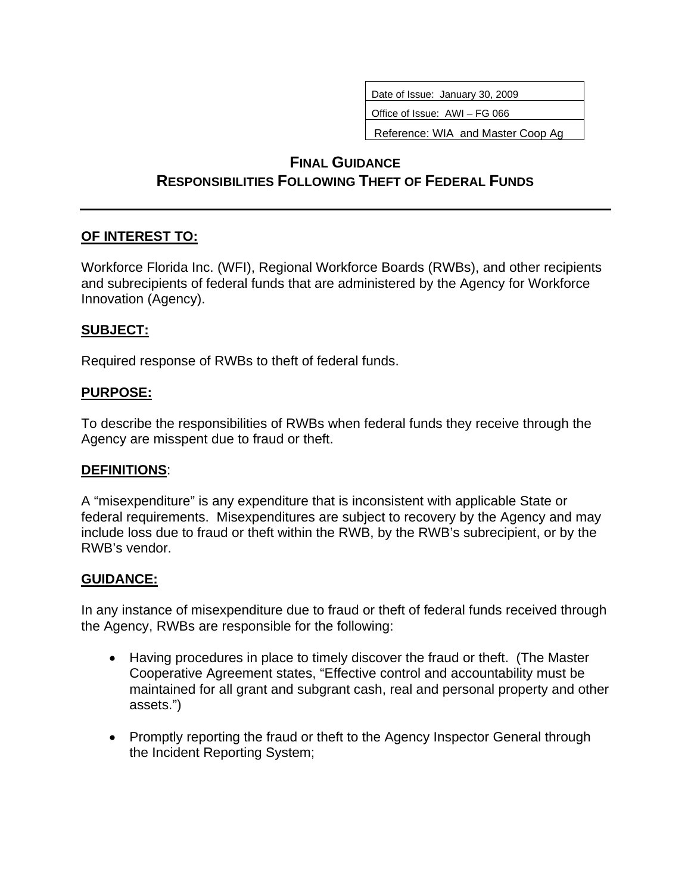Date of Issue: January 30, 2009

Office of Issue: AWI – FG 066

Reference: WIA and Master Coop Ag

# **FINAL GUIDANCE RESPONSIBILITIES FOLLOWING THEFT OF FEDERAL FUNDS**

#### **OF INTEREST TO:**

Workforce Florida Inc. (WFI), Regional Workforce Boards (RWBs), and other recipients and subrecipients of federal funds that are administered by the Agency for Workforce Innovation (Agency).

#### **SUBJECT:**

Required response of RWBs to theft of federal funds.

#### **PURPOSE:**

To describe the responsibilities of RWBs when federal funds they receive through the Agency are misspent due to fraud or theft.

#### **DEFINITIONS**:

A "misexpenditure" is any expenditure that is inconsistent with applicable State or federal requirements. Misexpenditures are subject to recovery by the Agency and may include loss due to fraud or theft within the RWB, by the RWB's subrecipient, or by the RWB's vendor.

### **GUIDANCE:**

In any instance of misexpenditure due to fraud or theft of federal funds received through the Agency, RWBs are responsible for the following:

- Having procedures in place to timely discover the fraud or theft. (The Master Cooperative Agreement states, "Effective control and accountability must be maintained for all grant and subgrant cash, real and personal property and other assets.")
- Promptly reporting the fraud or theft to the Agency Inspector General through the Incident Reporting System;